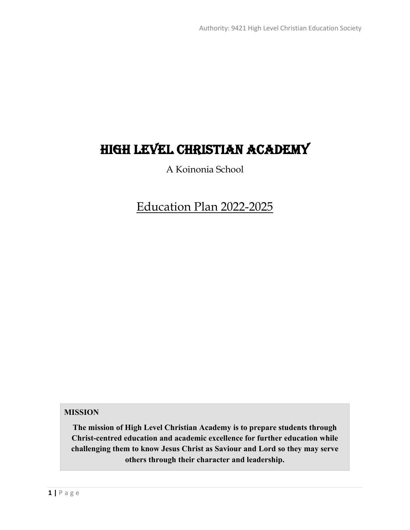# High Level Christian Academy

A Koinonia School

# Education Plan 2022-2025

# **MISSION**

**The mission of High Level Christian Academy is to prepare students through Christ-centred education and academic excellence for further education while challenging them to know Jesus Christ as Saviour and Lord so they may serve others through their character and leadership.**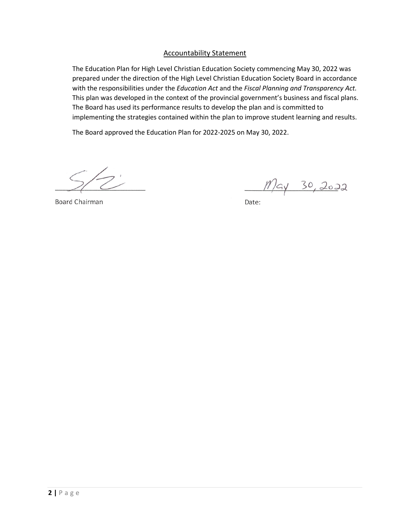# Accountability Statement

The Education Plan for High Level Christian Education Society commencing May 30, 2022 was prepared under the direction of the High Level Christian Education Society Board in accordance with the responsibilities under the *Education Act* and the *Fiscal Planning and Transparency Act.*  This plan was developed in the context of the provincial government's business and fiscal plans. The Board has used its performance results to develop the plan and is committed to implementing the strategies contained within the plan to improve student learning and results.

The Board approved the Education Plan for 2022-2025 on May 30, 2022.

**Board Chairman** 

 $M$ ay 30,2022

Date: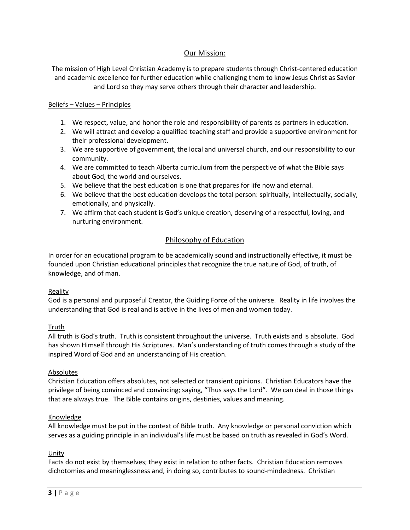# Our Mission:

The mission of High Level Christian Academy is to prepare students through Christ-centered education and academic excellence for further education while challenging them to know Jesus Christ as Savior and Lord so they may serve others through their character and leadership.

#### Beliefs – Values – Principles

- 1. We respect, value, and honor the role and responsibility of parents as partners in education.
- 2. We will attract and develop a qualified teaching staff and provide a supportive environment for their professional development.
- 3. We are supportive of government, the local and universal church, and our responsibility to our community.
- 4. We are committed to teach Alberta curriculum from the perspective of what the Bible says about God, the world and ourselves.
- 5. We believe that the best education is one that prepares for life now and eternal.
- 6. We believe that the best education develops the total person: spiritually, intellectually, socially, emotionally, and physically.
- 7. We affirm that each student is God's unique creation, deserving of a respectful, loving, and nurturing environment.

## Philosophy of Education

In order for an educational program to be academically sound and instructionally effective, it must be founded upon Christian educational principles that recognize the true nature of God, of truth, of knowledge, and of man.

#### Reality

God is a personal and purposeful Creator, the Guiding Force of the universe. Reality in life involves the understanding that God is real and is active in the lives of men and women today.

#### Truth

All truth is God's truth. Truth is consistent throughout the universe. Truth exists and is absolute. God has shown Himself through His Scriptures. Man's understanding of truth comes through a study of the inspired Word of God and an understanding of His creation.

#### Absolutes

Christian Education offers absolutes, not selected or transient opinions. Christian Educators have the privilege of being convinced and convincing; saying, "Thus says the Lord". We can deal in those things that are always true. The Bible contains origins, destinies, values and meaning.

#### Knowledge

All knowledge must be put in the context of Bible truth. Any knowledge or personal conviction which serves as a guiding principle in an individual's life must be based on truth as revealed in God's Word.

#### Unity

Facts do not exist by themselves; they exist in relation to other facts. Christian Education removes dichotomies and meaninglessness and, in doing so, contributes to sound-mindedness. Christian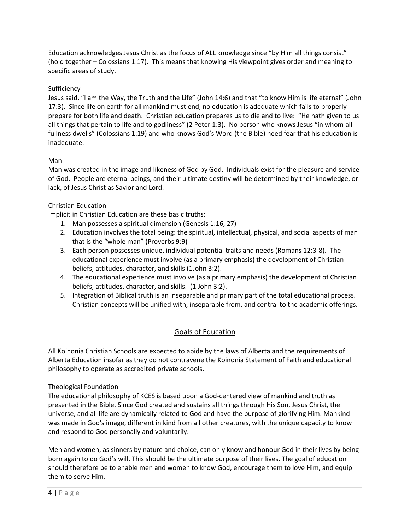Education acknowledges Jesus Christ as the focus of ALL knowledge since "by Him all things consist" (hold together – Colossians 1:17). This means that knowing His viewpoint gives order and meaning to specific areas of study.

# Sufficiency

Jesus said, "I am the Way, the Truth and the Life" (John 14:6) and that "to know Him is life eternal" (John 17:3). Since life on earth for all mankind must end, no education is adequate which fails to properly prepare for both life and death. Christian education prepares us to die and to live: "He hath given to us all things that pertain to life and to godliness" (2 Peter 1:3). No person who knows Jesus "in whom all fullness dwells" (Colossians 1:19) and who knows God's Word (the Bible) need fear that his education is inadequate.

## $Man$

Man was created in the image and likeness of God by God. Individuals exist for the pleasure and service of God. People are eternal beings, and their ultimate destiny will be determined by their knowledge, or lack, of Jesus Christ as Savior and Lord.

## Christian Education

Implicit in Christian Education are these basic truths:

- 1. Man possesses a spiritual dimension (Genesis 1:16, 27)
- 2. Education involves the total being: the spiritual, intellectual, physical, and social aspects of man that is the "whole man" (Proverbs 9:9)
- 3. Each person possesses unique, individual potential traits and needs (Romans 12:3-8). The educational experience must involve (as a primary emphasis) the development of Christian beliefs, attitudes, character, and skills (1John 3:2).
- 4. The educational experience must involve (as a primary emphasis) the development of Christian beliefs, attitudes, character, and skills. (1 John 3:2).
- 5. Integration of Biblical truth is an inseparable and primary part of the total educational process. Christian concepts will be unified with, inseparable from, and central to the academic offerings.

# Goals of Education

All Koinonia Christian Schools are expected to abide by the laws of Alberta and the requirements of Alberta Education insofar as they do not contravene the Koinonia Statement of Faith and educational philosophy to operate as accredited private schools.

## Theological Foundation

The educational philosophy of KCES is based upon a God-centered view of mankind and truth as presented in the Bible. Since God created and sustains all things through His Son, Jesus Christ, the universe, and all life are dynamically related to God and have the purpose of glorifying Him. Mankind was made in God's image, different in kind from all other creatures, with the unique capacity to know and respond to God personally and voluntarily.

Men and women, as sinners by nature and choice, can only know and honour God in their lives by being born again to do God's will. This should be the ultimate purpose of their lives. The goal of education should therefore be to enable men and women to know God, encourage them to love Him, and equip them to serve Him.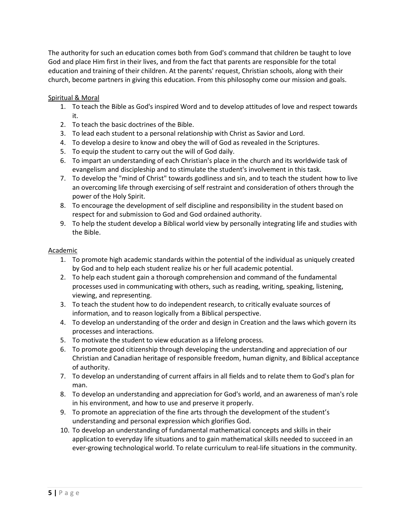The authority for such an education comes both from God's command that children be taught to love God and place Him first in their lives, and from the fact that parents are responsible for the total education and training of their children. At the parents' request, Christian schools, along with their church, become partners in giving this education. From this philosophy come our mission and goals.

# Spiritual & Moral

- 1. To teach the Bible as God's inspired Word and to develop attitudes of love and respect towards it.
- 2. To teach the basic doctrines of the Bible.
- 3. To lead each student to a personal relationship with Christ as Savior and Lord.
- 4. To develop a desire to know and obey the will of God as revealed in the Scriptures.
- 5. To equip the student to carry out the will of God daily.
- 6. To impart an understanding of each Christian's place in the church and its worldwide task of evangelism and discipleship and to stimulate the student's involvement in this task.
- 7. To develop the "mind of Christ" towards godliness and sin, and to teach the student how to live an overcoming life through exercising of self restraint and consideration of others through the power of the Holy Spirit.
- 8. To encourage the development of self discipline and responsibility in the student based on respect for and submission to God and God ordained authority.
- 9. To help the student develop a Biblical world view by personally integrating life and studies with the Bible.

#### Academic

- 1. To promote high academic standards within the potential of the individual as uniquely created by God and to help each student realize his or her full academic potential.
- 2. To help each student gain a thorough comprehension and command of the fundamental processes used in communicating with others, such as reading, writing, speaking, listening, viewing, and representing.
- 3. To teach the student how to do independent research, to critically evaluate sources of information, and to reason logically from a Biblical perspective.
- 4. To develop an understanding of the order and design in Creation and the laws which govern its processes and interactions.
- 5. To motivate the student to view education as a lifelong process.
- 6. To promote good citizenship through developing the understanding and appreciation of our Christian and Canadian heritage of responsible freedom, human dignity, and Biblical acceptance of authority.
- 7. To develop an understanding of current affairs in all fields and to relate them to God's plan for man.
- 8. To develop an understanding and appreciation for God's world, and an awareness of man's role in his environment, and how to use and preserve it properly.
- 9. To promote an appreciation of the fine arts through the development of the student's understanding and personal expression which glorifies God.
- 10. To develop an understanding of fundamental mathematical concepts and skills in their application to everyday life situations and to gain mathematical skills needed to succeed in an ever-growing technological world. To relate curriculum to real-life situations in the community.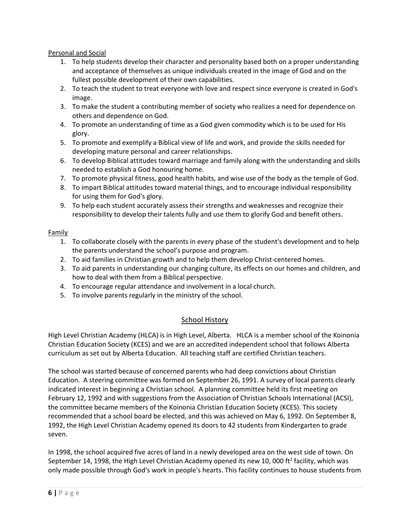#### Personal and Social

- 1. To help students develop their character and personality based both on a proper understanding and acceptance of themselves as unique individuals created in the image of God and on the fullest possible development of their own capabilities.
- 2. To teach the student to treat everyone with love and respect since everyone is created in God's image.
- 3. To make the student a contributing member of society who realizes a need for dependence on others and dependence on God.
- 4. To promote an understanding of time as a God given commodity which is to be used for His glory.
- 5. To promote and exemplify a Biblical view of life and work, and provide the skills needed for developing mature personal and career relationships.
- 6. To develop Biblical attitudes toward marriage and family along with the understanding and skills needed to establish a God honouring home.
- 7. To promote physical fitness, good health habits, and wise use of the body as the temple of God.
- 8. To impart Biblical attitudes toward material things, and to encourage individual responsibility for using them for God's glory.
- 9. To help each student accurately assess their strengths and weaknesses and recognize their responsibility to develop their talents fully and use them to glorify God and benefit others.

#### Family

- 1. To collaborate closely with the parents in every phase of the student's development and to help the parents understand the school's purpose and program.
- 2. To aid families in Christian growth and to help them develop Christ-centered homes.
- 3. To aid parents in understanding our changing culture, its effects on our homes and children, and how to deal with them from a Biblical perspective.
- 4. To encourage regular attendance and involvement in a local church.
- 5. To involve parents regularly in the ministry of the school.

# **School History**

High Level Christian Academy (HLCA) is in High Level, Alberta. HLCA is a member school of the Koinonia Christian Education Society (KCES) and we are an accredited independent school that follows Alberta curriculum as set out by Alberta Education. All teaching staff are certified Christian teachers.

The school was started because of concerned parents who had deep convictions about Christian Education. A steering committee was formed on September 26, 1991. A survey of local parents clearly indicated interest in beginning a Christian school. A planning committee held its first meeting on February 12, 1992 and with suggestions from the Association of Christian Schools International (ACSI), the committee became members of the Koinonia Christian Education Society (KCES). This society recommended that a school board be elected, and this was achieved on May 6, 1992. On September 8, 1992, the High Level Christian Academy opened its doors to 42 students from Kindergarten to grade seven.

In 1998, the school acquired five acres of land in a newly developed area on the west side of town. On September 14, 1998, the High Level Christian Academy opened its new 10, 000 ft<sup>2</sup> facility, which was only made possible through God's work in people's hearts. This facility continues to house students from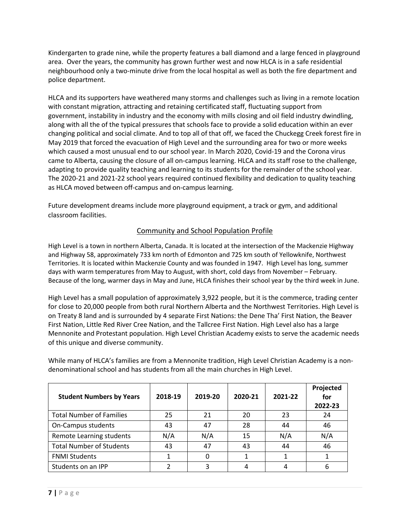Kindergarten to grade nine, while the property features a ball diamond and a large fenced in playground area. Over the years, the community has grown further west and now HLCA is in a safe residential neighbourhood only a two-minute drive from the local hospital as well as both the fire department and police department.

HLCA and its supporters have weathered many storms and challenges such as living in a remote location with constant migration, attracting and retaining certificated staff, fluctuating support from government, instability in industry and the economy with mills closing and oil field industry dwindling, along with all the of the typical pressures that schools face to provide a solid education within an ever changing political and social climate. And to top all of that off, we faced the Chuckegg Creek forest fire in May 2019 that forced the evacuation of High Level and the surrounding area for two or more weeks which caused a most unusual end to our school year. In March 2020, Covid-19 and the Corona virus came to Alberta, causing the closure of all on-campus learning. HLCA and its staff rose to the challenge, adapting to provide quality teaching and learning to its students for the remainder of the school year. The 2020-21 and 2021-22 school years required continued flexibility and dedication to quality teaching as HLCA moved between off-campus and on-campus learning.

Future development dreams include more playground equipment, a track or gym, and additional classroom facilities.

# Community and School Population Profile

High Level is a town in northern Alberta, Canada. It is located at the intersection of the Mackenzie Highway and Highway 58, approximately 733 km north of Edmonton and 725 km south of Yellowknife, Northwest Territories. It is located within Mackenzie County and was founded in 1947. High Level has long, summer days with warm temperatures from May to August, with short, cold days from November – February. Because of the long, warmer days in May and June, HLCA finishes their school year by the third week in June.

High Level has a small population of approximately 3,922 people, but it is the commerce, trading center for close to 20,000 people from both rural Northern Alberta and the Northwest Territories. High Level is on Treaty 8 land and is surrounded by 4 separate First Nations: the Dene Tha' First Nation, the Beaver First Nation, Little Red River Cree Nation, and the Tallcree First Nation. High Level also has a large Mennonite and Protestant population. High Level Christian Academy exists to serve the academic needs of this unique and diverse community.

While many of HLCA's families are from a Mennonite tradition, High Level Christian Academy is a nondenominational school and has students from all the main churches in High Level.

| <b>Student Numbers by Years</b> | 2018-19 | 2019-20 | 2020-21 | 2021-22 | Projected<br>for<br>2022-23 |
|---------------------------------|---------|---------|---------|---------|-----------------------------|
| <b>Total Number of Families</b> | 25      | 21      | 20      | 23      | 24                          |
| On-Campus students              | 43      | 47      | 28      | 44      | 46                          |
| Remote Learning students        | N/A     | N/A     | 15      | N/A     | N/A                         |
| <b>Total Number of Students</b> | 43      | 47      | 43      | 44      | 46                          |
| <b>FNMI Students</b>            |         | ŋ       |         |         |                             |
| Students on an IPP              |         |         |         |         | 6                           |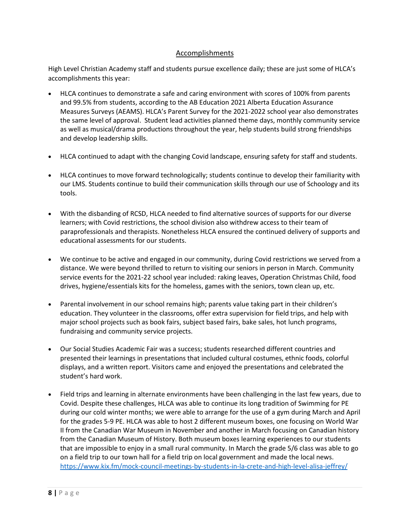# Accomplishments

High Level Christian Academy staff and students pursue excellence daily; these are just some of HLCA's accomplishments this year:

- HLCA continues to demonstrate a safe and caring environment with scores of 100% from parents and 99.5% from students, according to the AB Education 2021 Alberta Education Assurance Measures Surveys (AEAMS). HLCA's Parent Survey for the 2021-2022 school year also demonstrates the same level of approval. Student lead activities planned theme days, monthly community service as well as musical/drama productions throughout the year, help students build strong friendships and develop leadership skills.
- HLCA continued to adapt with the changing Covid landscape, ensuring safety for staff and students.
- HLCA continues to move forward technologically; students continue to develop their familiarity with our LMS. Students continue to build their communication skills through our use of Schoology and its tools.
- With the disbanding of RCSD, HLCA needed to find alternative sources of supports for our diverse learners; with Covid restrictions, the school division also withdrew access to their team of paraprofessionals and therapists. Nonetheless HLCA ensured the continued delivery of supports and educational assessments for our students.
- We continue to be active and engaged in our community, during Covid restrictions we served from a distance. We were beyond thrilled to return to visiting our seniors in person in March. Community service events for the 2021-22 school year included: raking leaves, Operation Christmas Child, food drives, hygiene/essentials kits for the homeless, games with the seniors, town clean up, etc.
- Parental involvement in our school remains high; parents value taking part in their children's education. They volunteer in the classrooms, offer extra supervision for field trips, and help with major school projects such as book fairs, subject based fairs, bake sales, hot lunch programs, fundraising and community service projects.
- Our Social Studies Academic Fair was a success; students researched different countries and presented their learnings in presentations that included cultural costumes, ethnic foods, colorful displays, and a written report. Visitors came and enjoyed the presentations and celebrated the student's hard work.
- Field trips and learning in alternate environments have been challenging in the last few years, due to Covid. Despite these challenges, HLCA was able to continue its long tradition of Swimming for PE during our cold winter months; we were able to arrange for the use of a gym during March and April for the grades 5-9 PE. HLCA was able to host 2 different museum boxes, one focusing on World War II from the Canadian War Museum in November and another in March focusing on Canadian history from the Canadian Museum of History. Both museum boxes learning experiences to our students that are impossible to enjoy in a small rural community. In March the grade 5/6 class was able to go on a field trip to our town hall for a field trip on local government and made the local news. <https://www.kix.fm/mock-council-meetings-by-students-in-la-crete-and-high-level-alisa-jeffrey/>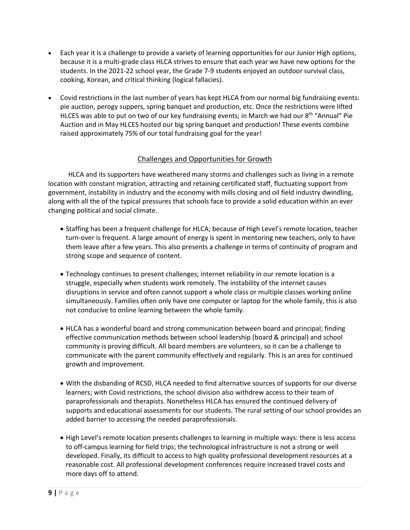- Each year it is a challenge to provide a variety of learning opportunities for our Junior High options, because it is a multi-grade class HLCA strives to ensure that each year we have new options for the students. In the 2021-22 school year, the Grade 7-9 students enjoyed an outdoor survival class, cooking, Korean, and critical thinking (logical fallacies).
- Covid restrictions in the last number of years has kept HLCA from our normal big fundraising events: pie auction, perogy suppers, spring banquet and production, etc. Once the restrictions were lifted HLCES was able to put on two of our key fundraising events; in March we had our  $8<sup>th</sup>$  "Annual" Pie Auction and in May HLCES hosted our big spring banquet and production! These events combine raised approximately 75% of our total fundraising goal for the year!

# Challenges and Opportunities for Growth

 HLCA and its supporters have weathered many storms and challenges such as living in a remote location with constant migration, attracting and retaining certificated staff, fluctuating support from government, instability in industry and the economy with mills closing and oil field industry dwindling, along with all the of the typical pressures that schools face to provide a solid education within an ever changing political and social climate.

- Staffing has been a frequent challenge for HLCA; because of High Level's remote location, teacher turn-over is frequent. A large amount of energy is spent in mentoring new teachers, only to have them leave after a few years. This also presents a challenge in terms of continuity of program and strong scope and sequence of content.
- Technology continues to present challenges; internet reliability in our remote location is a struggle, especially when students work remotely. The instability of the internet causes disruptions in service and often cannot support a whole class or multiple classes working online simultaneously. Families often only have one computer or laptop for the whole family, this is also not conducive to online learning between the whole family.
- HLCA has a wonderful board and strong communication between board and principal; finding effective communication methods between school leadership (board & principal) and school community is proving difficult. All board members are volunteers, so it can be a challenge to communicate with the parent community effectively and regularly. This is an area for continued growth and improvement.
- With the disbanding of RCSD, HLCA needed to find alternative sources of supports for our diverse learners; with Covid restrictions, the school division also withdrew access to their team of paraprofessionals and therapists. Nonetheless HLCA has ensured the continued delivery of supports and educational assessments for our students. The rural setting of our school provides an added barrier to accessing the needed paraprofessionals.
- High Level's remote location presents challenges to learning in multiple ways: there is less access to off-campus learning for field trips; the technological infrastructure is not a strong or well developed. Finally, its difficult to access to high quality professional development resources at a reasonable cost. All professional development conferences require increased travel costs and more days off to attend.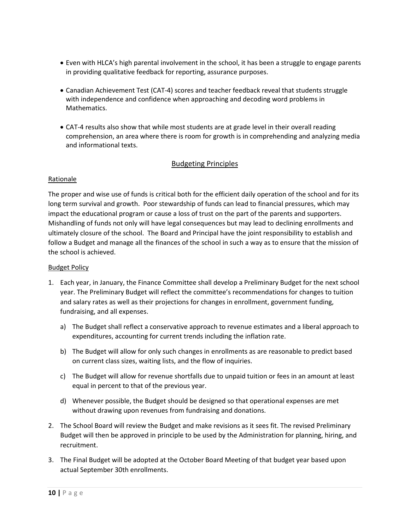- Even with HLCA's high parental involvement in the school, it has been a struggle to engage parents in providing qualitative feedback for reporting, assurance purposes.
- Canadian Achievement Test (CAT-4) scores and teacher feedback reveal that students struggle with independence and confidence when approaching and decoding word problems in Mathematics.
- CAT-4 results also show that while most students are at grade level in their overall reading comprehension, an area where there is room for growth is in comprehending and analyzing media and informational texts.

# Budgeting Principles

#### Rationale

The proper and wise use of funds is critical both for the efficient daily operation of the school and for its long term survival and growth. Poor stewardship of funds can lead to financial pressures, which may impact the educational program or cause a loss of trust on the part of the parents and supporters. Mishandling of funds not only will have legal consequences but may lead to declining enrollments and ultimately closure of the school. The Board and Principal have the joint responsibility to establish and follow a Budget and manage all the finances of the school in such a way as to ensure that the mission of the school is achieved.

#### Budget Policy

- 1. Each year, in January, the Finance Committee shall develop a Preliminary Budget for the next school year. The Preliminary Budget will reflect the committee's recommendations for changes to tuition and salary rates as well as their projections for changes in enrollment, government funding, fundraising, and all expenses.
	- a) The Budget shall reflect a conservative approach to revenue estimates and a liberal approach to expenditures, accounting for current trends including the inflation rate.
	- b) The Budget will allow for only such changes in enrollments as are reasonable to predict based on current class sizes, waiting lists, and the flow of inquiries.
	- c) The Budget will allow for revenue shortfalls due to unpaid tuition or fees in an amount at least equal in percent to that of the previous year.
	- d) Whenever possible, the Budget should be designed so that operational expenses are met without drawing upon revenues from fundraising and donations.
- 2. The School Board will review the Budget and make revisions as it sees fit. The revised Preliminary Budget will then be approved in principle to be used by the Administration for planning, hiring, and recruitment.
- 3. The Final Budget will be adopted at the October Board Meeting of that budget year based upon actual September 30th enrollments.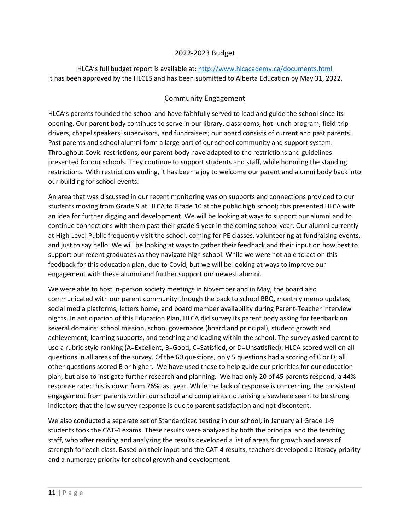# 2022-2023 Budget

HLCA's full budget report is available at:<http://www.hlcacademy.ca/documents.html> It has been approved by the HLCES and has been submitted to Alberta Education by May 31, 2022.

#### Community Engagement

HLCA's parents founded the school and have faithfully served to lead and guide the school since its opening. Our parent body continues to serve in our library, classrooms, hot-lunch program, field-trip drivers, chapel speakers, supervisors, and fundraisers; our board consists of current and past parents. Past parents and school alumni form a large part of our school community and support system. Throughout Covid restrictions, our parent body have adapted to the restrictions and guidelines presented for our schools. They continue to support students and staff, while honoring the standing restrictions. With restrictions ending, it has been a joy to welcome our parent and alumni body back into our building for school events.

An area that was discussed in our recent monitoring was on supports and connections provided to our students moving from Grade 9 at HLCA to Grade 10 at the public high school; this presented HLCA with an idea for further digging and development. We will be looking at ways to support our alumni and to continue connections with them past their grade 9 year in the coming school year. Our alumni currently at High Level Public frequently visit the school, coming for PE classes, volunteering at fundraising events, and just to say hello. We will be looking at ways to gather their feedback and their input on how best to support our recent graduates as they navigate high school. While we were not able to act on this feedback for this education plan, due to Covid, but we will be looking at ways to improve our engagement with these alumni and further support our newest alumni.

We were able to host in-person society meetings in November and in May; the board also communicated with our parent community through the back to school BBQ, monthly memo updates, social media platforms, letters home, and board member availability during Parent-Teacher interview nights. In anticipation of this Education Plan, HLCA did survey its parent body asking for feedback on several domains: school mission, school governance (board and principal), student growth and achievement, learning supports, and teaching and leading within the school. The survey asked parent to use a rubric style ranking (A=Excellent, B=Good, C=Satisfied, or D=Unsatisfied); HLCA scored well on all questions in all areas of the survey. Of the 60 questions, only 5 questions had a scoring of C or D; all other questions scored B or higher. We have used these to help guide our priorities for our education plan, but also to instigate further research and planning. We had only 20 of 45 parents respond, a 44% response rate; this is down from 76% last year. While the lack of response is concerning, the consistent engagement from parents within our school and complaints not arising elsewhere seem to be strong indicators that the low survey response is due to parent satisfaction and not discontent.

We also conducted a separate set of Standardized testing in our school; in January all Grade 1-9 students took the CAT-4 exams. These results were analyzed by both the principal and the teaching staff, who after reading and analyzing the results developed a list of areas for growth and areas of strength for each class. Based on their input and the CAT-4 results, teachers developed a literacy priority and a numeracy priority for school growth and development.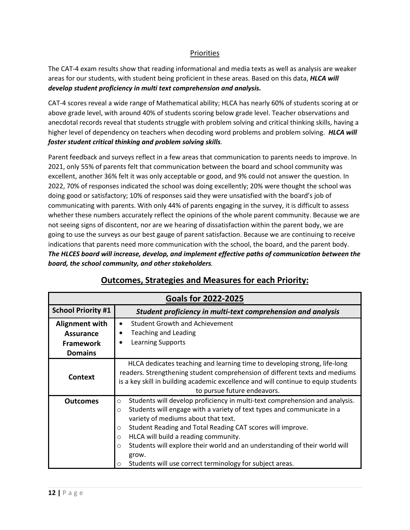# Priorities

The CAT-4 exam results show that reading informational and media texts as well as analysis are weaker areas for our students, with student being proficient in these areas. Based on this data, *HLCA will develop student proficiency in multi text comprehension and analysis.* 

CAT-4 scores reveal a wide range of Mathematical ability; HLCA has nearly 60% of students scoring at or above grade level, with around 40% of students scoring below grade level. Teacher observations and anecdotal records reveal that students struggle with problem solving and critical thinking skills, having a higher level of dependency on teachers when decoding word problems and problem solving. *HLCA will foster student critical thinking and problem solving skills.*

Parent feedback and surveys reflect in a few areas that communication to parents needs to improve. In 2021, only 55% of parents felt that communication between the board and school community was excellent, another 36% felt it was only acceptable or good, and 9% could not answer the question. In 2022, 70% of responses indicated the school was doing excellently; 20% were thought the school was doing good or satisfactory; 10% of responses said they were unsatisfied with the board's job of communicating with parents. With only 44% of parents engaging in the survey, it is difficult to assess whether these numbers accurately reflect the opinions of the whole parent community. Because we are not seeing signs of discontent, nor are we hearing of dissatisfaction within the parent body, we are going to use the surveys as our best gauge of parent satisfaction. Because we are continuing to receive indications that parents need more communication with the school, the board, and the parent body. *The HLCES board will increase, develop, and implement effective paths of communication between the board, the school community, and other stakeholders.* 

| <b>Goals for 2022-2025</b>                                               |                                                                                                                                                                                                                                                                                                                                                                                                                                                                                                                         |  |  |
|--------------------------------------------------------------------------|-------------------------------------------------------------------------------------------------------------------------------------------------------------------------------------------------------------------------------------------------------------------------------------------------------------------------------------------------------------------------------------------------------------------------------------------------------------------------------------------------------------------------|--|--|
| <b>School Priority #1</b>                                                | Student proficiency in multi-text comprehension and analysis                                                                                                                                                                                                                                                                                                                                                                                                                                                            |  |  |
| Alignment with<br><b>Assurance</b><br><b>Framework</b><br><b>Domains</b> | <b>Student Growth and Achievement</b><br>٠<br><b>Teaching and Leading</b><br><b>Learning Supports</b><br>$\bullet$                                                                                                                                                                                                                                                                                                                                                                                                      |  |  |
| <b>Context</b>                                                           | HLCA dedicates teaching and learning time to developing strong, life-long<br>readers. Strengthening student comprehension of different texts and mediums<br>is a key skill in building academic excellence and will continue to equip students<br>to pursue future endeavors.                                                                                                                                                                                                                                           |  |  |
| <b>Outcomes</b>                                                          | Students will develop proficiency in multi-text comprehension and analysis.<br>$\circ$<br>Students will engage with a variety of text types and communicate in a<br>$\circ$<br>variety of mediums about that text.<br>Student Reading and Total Reading CAT scores will improve.<br>$\circ$<br>HLCA will build a reading community.<br>$\circ$<br>Students will explore their world and an understanding of their world will<br>$\circ$<br>grow.<br>Students will use correct terminology for subject areas.<br>$\circ$ |  |  |

# **Outcomes, Strategies and Measures for each Priority:**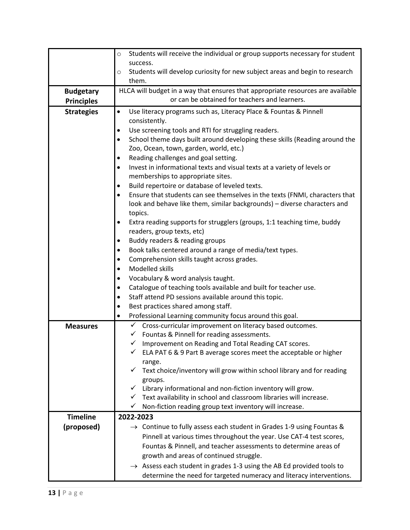|                   | Students will receive the individual or group supports necessary for student<br>$\circ$                                                   |
|-------------------|-------------------------------------------------------------------------------------------------------------------------------------------|
|                   | success.                                                                                                                                  |
|                   | Students will develop curiosity for new subject areas and begin to research<br>$\circ$<br>them.                                           |
| <b>Budgetary</b>  | HLCA will budget in a way that ensures that appropriate resources are available                                                           |
| <b>Principles</b> | or can be obtained for teachers and learners.                                                                                             |
| <b>Strategies</b> | Use literacy programs such as, Literacy Place & Fountas & Pinnell<br>$\bullet$                                                            |
|                   | consistently.                                                                                                                             |
|                   | Use screening tools and RTI for struggling readers.                                                                                       |
|                   | School theme days built around developing these skills (Reading around the                                                                |
|                   | Zoo, Ocean, town, garden, world, etc.)                                                                                                    |
|                   | Reading challenges and goal setting.                                                                                                      |
|                   | Invest in informational texts and visual texts at a variety of levels or                                                                  |
|                   | memberships to appropriate sites.                                                                                                         |
|                   | Build repertoire or database of leveled texts.<br>$\bullet$                                                                               |
|                   | Ensure that students can see themselves in the texts (FNMI, characters that<br>$\bullet$                                                  |
|                   | look and behave like them, similar backgrounds) - diverse characters and                                                                  |
|                   | topics.<br>Extra reading supports for strugglers (groups, 1:1 teaching time, buddy<br>$\bullet$                                           |
|                   | readers, group texts, etc)                                                                                                                |
|                   | Buddy readers & reading groups<br>$\bullet$                                                                                               |
|                   | Book talks centered around a range of media/text types.<br>٠                                                                              |
|                   | Comprehension skills taught across grades.                                                                                                |
|                   | Modelled skills                                                                                                                           |
|                   | Vocabulary & word analysis taught.                                                                                                        |
|                   | Catalogue of teaching tools available and built for teacher use.<br>$\bullet$                                                             |
|                   | Staff attend PD sessions available around this topic.<br>$\bullet$                                                                        |
|                   | Best practices shared among staff.<br>$\bullet$                                                                                           |
|                   | Professional Learning community focus around this goal.<br>$\bullet$                                                                      |
| <b>Measures</b>   | Cross-curricular improvement on literacy based outcomes.<br>✓                                                                             |
|                   | Fountas & Pinnell for reading assessments.<br>$\checkmark$                                                                                |
|                   | $\checkmark$<br>Improvement on Reading and Total Reading CAT scores.<br>ELA PAT 6 & 9 Part B average scores meet the acceptable or higher |
|                   | range.                                                                                                                                    |
|                   | Text choice/inventory will grow within school library and for reading                                                                     |
|                   | groups.                                                                                                                                   |
|                   | Library informational and non-fiction inventory will grow.                                                                                |
|                   | Text availability in school and classroom libraries will increase.<br>✓                                                                   |
|                   | ✓<br>Non-fiction reading group text inventory will increase.                                                                              |
| <b>Timeline</b>   | 2022-2023                                                                                                                                 |
| (proposed)        | $\rightarrow$ Continue to fully assess each student in Grades 1-9 using Fountas &                                                         |
|                   | Pinnell at various times throughout the year. Use CAT-4 test scores,                                                                      |
|                   | Fountas & Pinnell, and teacher assessments to determine areas of                                                                          |
|                   | growth and areas of continued struggle.                                                                                                   |
|                   | $\rightarrow$ Assess each student in grades 1-3 using the AB Ed provided tools to                                                         |
|                   | determine the need for targeted numeracy and literacy interventions.                                                                      |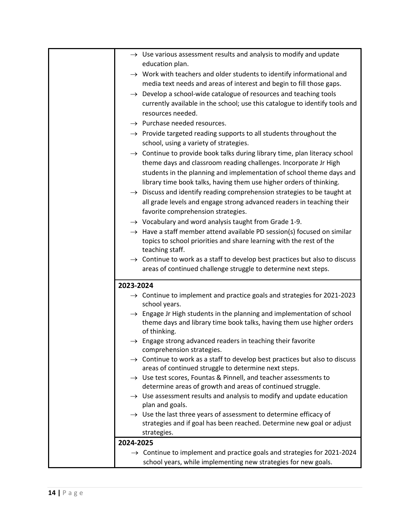| $\rightarrow$ Use various assessment results and analysis to modify and update                                                                  |
|-------------------------------------------------------------------------------------------------------------------------------------------------|
| education plan.                                                                                                                                 |
| $\rightarrow$ Work with teachers and older students to identify informational and                                                               |
| media text needs and areas of interest and begin to fill those gaps.                                                                            |
| $\rightarrow$ Develop a school-wide catalogue of resources and teaching tools                                                                   |
| currently available in the school; use this catalogue to identify tools and                                                                     |
| resources needed.                                                                                                                               |
| $\rightarrow$ Purchase needed resources.                                                                                                        |
| $\rightarrow$ Provide targeted reading supports to all students throughout the                                                                  |
| school, using a variety of strategies.                                                                                                          |
| $\rightarrow$ Continue to provide book talks during library time, plan literacy school                                                          |
| theme days and classroom reading challenges. Incorporate Jr High                                                                                |
| students in the planning and implementation of school theme days and                                                                            |
| library time book talks, having them use higher orders of thinking.                                                                             |
| $\rightarrow$ Discuss and identify reading comprehension strategies to be taught at                                                             |
| all grade levels and engage strong advanced readers in teaching their                                                                           |
| favorite comprehension strategies.                                                                                                              |
| $\rightarrow$ Vocabulary and word analysis taught from Grade 1-9.                                                                               |
| $\rightarrow$ Have a staff member attend available PD session(s) focused on similar                                                             |
| topics to school priorities and share learning with the rest of the                                                                             |
| teaching staff.                                                                                                                                 |
| $\rightarrow$ Continue to work as a staff to develop best practices but also to discuss                                                         |
| areas of continued challenge struggle to determine next steps.                                                                                  |
| 2023-2024                                                                                                                                       |
| $\rightarrow$ Continue to implement and practice goals and strategies for 2021-2023                                                             |
| school years.                                                                                                                                   |
| $\rightarrow$ Engage Jr High students in the planning and implementation of school                                                              |
| theme days and library time book talks, having them use higher orders                                                                           |
| of thinking.                                                                                                                                    |
| $\rightarrow$ Engage strong advanced readers in teaching their favorite                                                                         |
| comprehension strategies.                                                                                                                       |
| $\rightarrow$ Continue to work as a staff to develop best practices but also to discuss<br>areas of continued struggle to determine next steps. |
| $\rightarrow$ Use test scores, Fountas & Pinnell, and teacher assessments to                                                                    |
| determine areas of growth and areas of continued struggle.                                                                                      |
| $\rightarrow$ Use assessment results and analysis to modify and update education                                                                |
| plan and goals.                                                                                                                                 |
| $\rightarrow$ Use the last three years of assessment to determine efficacy of                                                                   |
| strategies and if goal has been reached. Determine new goal or adjust                                                                           |
| strategies.                                                                                                                                     |
| 2024-2025                                                                                                                                       |
| $\rightarrow$ Continue to implement and practice goals and strategies for 2021-2024                                                             |
| school years, while implementing new strategies for new goals.                                                                                  |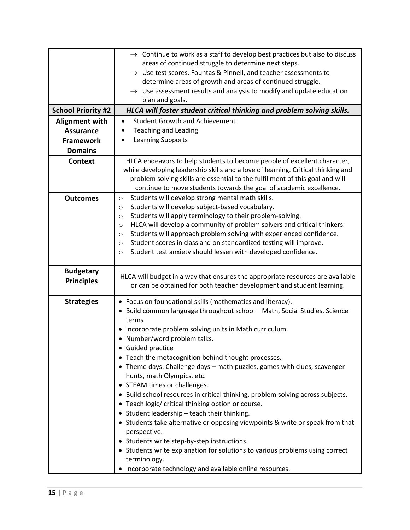|                                       | $\rightarrow$ Continue to work as a staff to develop best practices but also to discuss<br>areas of continued struggle to determine next steps.<br>$\rightarrow$ Use test scores, Fountas & Pinnell, and teacher assessments to                                                                                                                                                                                                                                                                                                                                                                                                                                                                                                                                                                                                                                                                                                                                      |
|---------------------------------------|----------------------------------------------------------------------------------------------------------------------------------------------------------------------------------------------------------------------------------------------------------------------------------------------------------------------------------------------------------------------------------------------------------------------------------------------------------------------------------------------------------------------------------------------------------------------------------------------------------------------------------------------------------------------------------------------------------------------------------------------------------------------------------------------------------------------------------------------------------------------------------------------------------------------------------------------------------------------|
|                                       | determine areas of growth and areas of continued struggle.<br>$\rightarrow$ Use assessment results and analysis to modify and update education<br>plan and goals.                                                                                                                                                                                                                                                                                                                                                                                                                                                                                                                                                                                                                                                                                                                                                                                                    |
| <b>School Priority #2</b>             | HLCA will foster student critical thinking and problem solving skills.                                                                                                                                                                                                                                                                                                                                                                                                                                                                                                                                                                                                                                                                                                                                                                                                                                                                                               |
| <b>Alignment with</b>                 | <b>Student Growth and Achievement</b>                                                                                                                                                                                                                                                                                                                                                                                                                                                                                                                                                                                                                                                                                                                                                                                                                                                                                                                                |
| <b>Assurance</b>                      | <b>Teaching and Leading</b><br>٠                                                                                                                                                                                                                                                                                                                                                                                                                                                                                                                                                                                                                                                                                                                                                                                                                                                                                                                                     |
| <b>Framework</b>                      | <b>Learning Supports</b>                                                                                                                                                                                                                                                                                                                                                                                                                                                                                                                                                                                                                                                                                                                                                                                                                                                                                                                                             |
| <b>Domains</b>                        |                                                                                                                                                                                                                                                                                                                                                                                                                                                                                                                                                                                                                                                                                                                                                                                                                                                                                                                                                                      |
| <b>Context</b>                        | HLCA endeavors to help students to become people of excellent character,<br>while developing leadership skills and a love of learning. Critical thinking and<br>problem solving skills are essential to the fulfillment of this goal and will<br>continue to move students towards the goal of academic excellence.                                                                                                                                                                                                                                                                                                                                                                                                                                                                                                                                                                                                                                                  |
| <b>Outcomes</b>                       | Students will develop strong mental math skills.<br>$\circ$<br>Students will develop subject-based vocabulary.<br>$\circ$<br>Students will apply terminology to their problem-solving.<br>$\circ$<br>HLCA will develop a community of problem solvers and critical thinkers.<br>$\circ$<br>Students will approach problem solving with experienced confidence.<br>$\circ$<br>Student scores in class and on standardized testing will improve.<br>$\circ$<br>Student test anxiety should lessen with developed confidence.<br>$\circ$                                                                                                                                                                                                                                                                                                                                                                                                                                |
| <b>Budgetary</b><br><b>Principles</b> | HLCA will budget in a way that ensures the appropriate resources are available<br>or can be obtained for both teacher development and student learning.                                                                                                                                                                                                                                                                                                                                                                                                                                                                                                                                                                                                                                                                                                                                                                                                              |
| <b>Strategies</b>                     | • Focus on foundational skills (mathematics and literacy).<br>• Build common language throughout school - Math, Social Studies, Science<br>terms<br>• Incorporate problem solving units in Math curriculum.<br>• Number/word problem talks.<br>Guided practice<br>• Teach the metacognition behind thought processes.<br>• Theme days: Challenge days - math puzzles, games with clues, scavenger<br>hunts, math Olympics, etc.<br>• STEAM times or challenges.<br>• Build school resources in critical thinking, problem solving across subjects.<br>• Teach logic/ critical thinking option or course.<br>• Student leadership - teach their thinking.<br>• Students take alternative or opposing viewpoints & write or speak from that<br>perspective.<br>• Students write step-by-step instructions.<br>• Students write explanation for solutions to various problems using correct<br>terminology.<br>• Incorporate technology and available online resources. |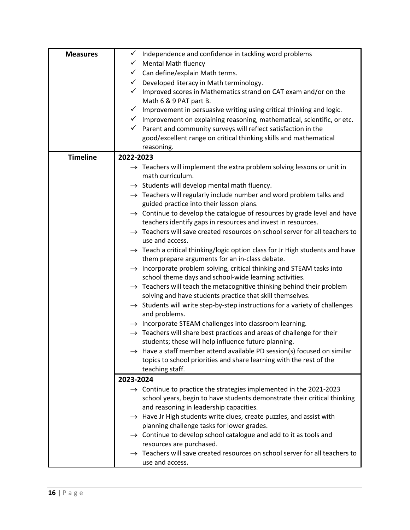| <b>Measures</b> | $\checkmark$ Independence and confidence in tackling word problems                                                                                   |
|-----------------|------------------------------------------------------------------------------------------------------------------------------------------------------|
|                 | ← Mental Math fluency                                                                                                                                |
|                 | Can define/explain Math terms.<br>$\checkmark$                                                                                                       |
|                 | Developed literacy in Math terminology.<br>$\checkmark$                                                                                              |
|                 | $\checkmark$<br>Improved scores in Mathematics strand on CAT exam and/or on the                                                                      |
|                 | Math 6 & 9 PAT part B.                                                                                                                               |
|                 | $\checkmark$<br>Improvement in persuasive writing using critical thinking and logic.                                                                 |
|                 | $\checkmark$ Improvement on explaining reasoning, mathematical, scientific, or etc.                                                                  |
|                 | $\checkmark$ Parent and community surveys will reflect satisfaction in the                                                                           |
|                 | good/excellent range on critical thinking skills and mathematical                                                                                    |
|                 | reasoning.                                                                                                                                           |
| <b>Timeline</b> | 2022-2023                                                                                                                                            |
|                 | $\rightarrow$ Teachers will implement the extra problem solving lessons or unit in<br>math curriculum.                                               |
|                 | $\rightarrow$ Students will develop mental math fluency.                                                                                             |
|                 | $\rightarrow$ Teachers will regularly include number and word problem talks and                                                                      |
|                 | guided practice into their lesson plans.                                                                                                             |
|                 | $\rightarrow$ Continue to develop the catalogue of resources by grade level and have                                                                 |
|                 | teachers identify gaps in resources and invest in resources.                                                                                         |
|                 | $\rightarrow$ Teachers will save created resources on school server for all teachers to                                                              |
|                 | use and access.                                                                                                                                      |
|                 | $\rightarrow$ Teach a critical thinking/logic option class for Jr High students and have                                                             |
|                 | them prepare arguments for an in-class debate.                                                                                                       |
|                 | $\rightarrow$ Incorporate problem solving, critical thinking and STEAM tasks into                                                                    |
|                 | school theme days and school-wide learning activities.                                                                                               |
|                 | $\rightarrow$ Teachers will teach the metacognitive thinking behind their problem                                                                    |
|                 | solving and have students practice that skill themselves.<br>$\rightarrow$ Students will write step-by-step instructions for a variety of challenges |
|                 | and problems.                                                                                                                                        |
|                 | $\rightarrow$ Incorporate STEAM challenges into classroom learning.                                                                                  |
|                 | $\rightarrow$ Teachers will share best practices and areas of challenge for their                                                                    |
|                 | students; these will help influence future planning.                                                                                                 |
|                 | $\rightarrow$ Have a staff member attend available PD session(s) focused on similar                                                                  |
|                 | topics to school priorities and share learning with the rest of the                                                                                  |
|                 | teaching staff.                                                                                                                                      |
|                 | 2023-2024                                                                                                                                            |
|                 | $\rightarrow$ Continue to practice the strategies implemented in the 2021-2023                                                                       |
|                 | school years, begin to have students demonstrate their critical thinking                                                                             |
|                 | and reasoning in leadership capacities.                                                                                                              |
|                 | $\rightarrow$ Have Jr High students write clues, create puzzles, and assist with                                                                     |
|                 | planning challenge tasks for lower grades.                                                                                                           |
|                 | $\rightarrow$ Continue to develop school catalogue and add to it as tools and<br>resources are purchased.                                            |
|                 | $\rightarrow$ Teachers will save created resources on school server for all teachers to                                                              |
|                 | use and access.                                                                                                                                      |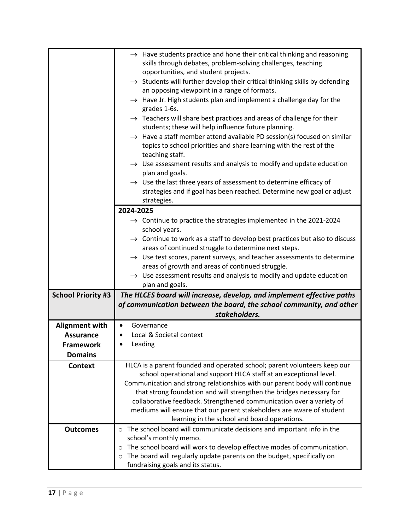|                           | $\rightarrow$ Have students practice and hone their critical thinking and reasoning                                    |
|---------------------------|------------------------------------------------------------------------------------------------------------------------|
|                           | skills through debates, problem-solving challenges, teaching                                                           |
|                           | opportunities, and student projects.                                                                                   |
|                           | $\rightarrow$ Students will further develop their critical thinking skills by defending                                |
|                           | an opposing viewpoint in a range of formats.                                                                           |
|                           | $\rightarrow$ Have Jr. High students plan and implement a challenge day for the                                        |
|                           | grades 1-6s.                                                                                                           |
|                           | $\rightarrow$ Teachers will share best practices and areas of challenge for their                                      |
|                           | students; these will help influence future planning.                                                                   |
|                           | $\rightarrow$ Have a staff member attend available PD session(s) focused on similar                                    |
|                           | topics to school priorities and share learning with the rest of the<br>teaching staff.                                 |
|                           | $\rightarrow$ Use assessment results and analysis to modify and update education                                       |
|                           | plan and goals.                                                                                                        |
|                           | $\rightarrow$ Use the last three years of assessment to determine efficacy of                                          |
|                           | strategies and if goal has been reached. Determine new goal or adjust                                                  |
|                           | strategies.                                                                                                            |
|                           | 2024-2025                                                                                                              |
|                           | $\rightarrow$ Continue to practice the strategies implemented in the 2021-2024<br>school years.                        |
|                           | $\rightarrow$ Continue to work as a staff to develop best practices but also to discuss                                |
|                           | areas of continued struggle to determine next steps.                                                                   |
|                           | $\rightarrow$ Use test scores, parent surveys, and teacher assessments to determine                                    |
|                           | areas of growth and areas of continued struggle.                                                                       |
|                           | $\rightarrow$ Use assessment results and analysis to modify and update education                                       |
|                           | plan and goals.                                                                                                        |
| <b>School Priority #3</b> | The HLCES board will increase, develop, and implement effective paths                                                  |
|                           | of communication between the board, the school community, and other                                                    |
|                           | stakeholders.                                                                                                          |
| <b>Alignment with</b>     | Governance                                                                                                             |
| <b>Assurance</b>          | Local & Societal context                                                                                               |
| <b>Framework</b>          | Leading                                                                                                                |
| <b>Domains</b>            |                                                                                                                        |
| <b>Context</b>            | HLCA is a parent founded and operated school; parent volunteers keep our                                               |
|                           | school operational and support HLCA staff at an exceptional level.                                                     |
|                           | Communication and strong relationships with our parent body will continue                                              |
|                           | that strong foundation and will strengthen the bridges necessary for                                                   |
|                           | collaborative feedback. Strengthened communication over a variety of                                                   |
|                           | mediums will ensure that our parent stakeholders are aware of student                                                  |
|                           | learning in the school and board operations.                                                                           |
| <b>Outcomes</b>           |                                                                                                                        |
|                           | $\circ$ The school board will communicate decisions and important info in the                                          |
|                           | school's monthly memo.                                                                                                 |
|                           | o The school board will work to develop effective modes of communication.                                              |
|                           | The board will regularly update parents on the budget, specifically on<br>$\circ$<br>fundraising goals and its status. |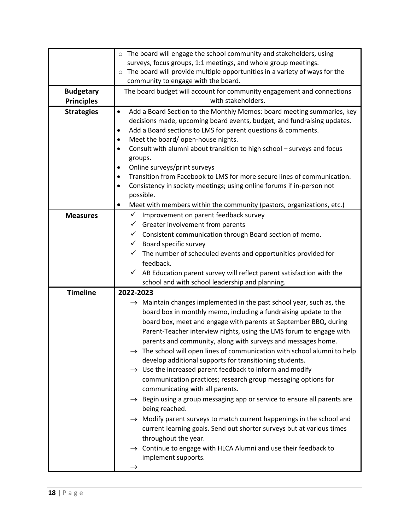|                   | o The board will engage the school community and stakeholders, using                 |
|-------------------|--------------------------------------------------------------------------------------|
|                   | surveys, focus groups, 1:1 meetings, and whole group meetings.                       |
|                   | $\circ$ The board will provide multiple opportunities in a variety of ways for the   |
|                   | community to engage with the board.                                                  |
| <b>Budgetary</b>  | The board budget will account for community engagement and connections               |
| <b>Principles</b> | with stakeholders.                                                                   |
| <b>Strategies</b> | Add a Board Section to the Monthly Memos: board meeting summaries, key<br>$\bullet$  |
|                   | decisions made, upcoming board events, budget, and fundraising updates.              |
|                   | Add a Board sections to LMS for parent questions & comments.<br>٠                    |
|                   | Meet the board/ open-house nights.                                                   |
|                   | Consult with alumni about transition to high school - surveys and focus<br>٠         |
|                   | groups.                                                                              |
|                   | Online surveys/print surveys                                                         |
|                   | Transition from Facebook to LMS for more secure lines of communication.<br>$\bullet$ |
|                   | Consistency in society meetings; using online forums if in-person not<br>٠           |
|                   | possible.                                                                            |
|                   | Meet with members within the community (pastors, organizations, etc.)                |
| <b>Measures</b>   | Improvement on parent feedback survey<br>$\checkmark$                                |
|                   | Greater involvement from parents<br>$\checkmark$                                     |
|                   | Consistent communication through Board section of memo.<br>$\checkmark$              |
|                   | $\checkmark$ Board specific survey                                                   |
|                   | The number of scheduled events and opportunities provided for<br>$\checkmark$        |
|                   | feedback.                                                                            |
|                   | $\checkmark$ AB Education parent survey will reflect parent satisfaction with the    |
|                   | school and with school leadership and planning.                                      |
| <b>Timeline</b>   | 2022-2023                                                                            |
|                   | $\rightarrow$ Maintain changes implemented in the past school year, such as, the     |
|                   | board box in monthly memo, including a fundraising update to the                     |
|                   |                                                                                      |
|                   | board box, meet and engage with parents at September BBQ, during                     |
|                   | Parent-Teacher interview nights, using the LMS forum to engage with                  |
|                   | parents and community, along with surveys and messages home.                         |
|                   | $\rightarrow$ The school will open lines of communication with school alumni to help |
|                   | develop additional supports for transitioning students.                              |
|                   | $\rightarrow$ Use the increased parent feedback to inform and modify                 |
|                   | communication practices; research group messaging options for                        |
|                   | communicating with all parents.                                                      |
|                   | $\rightarrow$ Begin using a group messaging app or service to ensure all parents are |
|                   | being reached.                                                                       |
|                   | $\rightarrow$ Modify parent surveys to match current happenings in the school and    |
|                   | current learning goals. Send out shorter surveys but at various times                |
|                   | throughout the year.                                                                 |
|                   | $\rightarrow$ Continue to engage with HLCA Alumni and use their feedback to          |
|                   | implement supports.                                                                  |
|                   | $\rightarrow$                                                                        |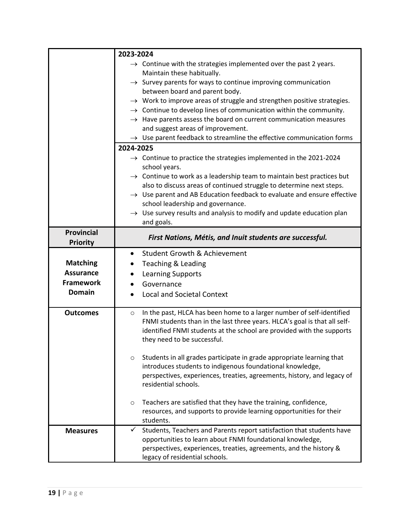|                   | 2023-2024                                                                                       |
|-------------------|-------------------------------------------------------------------------------------------------|
|                   | $\rightarrow$ Continue with the strategies implemented over the past 2 years.                   |
|                   | Maintain these habitually.                                                                      |
|                   | $\rightarrow$ Survey parents for ways to continue improving communication                       |
|                   | between board and parent body.                                                                  |
|                   | $\rightarrow$ Work to improve areas of struggle and strengthen positive strategies.             |
|                   | $\rightarrow$ Continue to develop lines of communication within the community.                  |
|                   | $\rightarrow$ Have parents assess the board on current communication measures                   |
|                   | and suggest areas of improvement.                                                               |
|                   | $\rightarrow$ Use parent feedback to streamline the effective communication forms               |
|                   | 2024-2025                                                                                       |
|                   | $\rightarrow$ Continue to practice the strategies implemented in the 2021-2024<br>school years. |
|                   | $\rightarrow$ Continue to work as a leadership team to maintain best practices but              |
|                   | also to discuss areas of continued struggle to determine next steps.                            |
|                   | $\rightarrow$ Use parent and AB Education feedback to evaluate and ensure effective             |
|                   | school leadership and governance.                                                               |
|                   | $\rightarrow$ Use survey results and analysis to modify and update education plan               |
|                   | and goals.                                                                                      |
| <b>Provincial</b> |                                                                                                 |
| <b>Priority</b>   | First Nations, Métis, and Inuit students are successful.                                        |
|                   | <b>Student Growth &amp; Achievement</b><br>$\bullet$                                            |
| <b>Matching</b>   | Teaching & Leading<br>٠                                                                         |
| <b>Assurance</b>  | Learning Supports<br>$\bullet$                                                                  |
| <b>Framework</b>  | Governance<br>$\bullet$                                                                         |
| <b>Domain</b>     | <b>Local and Societal Context</b>                                                               |
|                   |                                                                                                 |
| <b>Outcomes</b>   | In the past, HLCA has been home to a larger number of self-identified<br>$\circ$                |
|                   | FNMI students than in the last three years. HLCA's goal is that all self-                       |
|                   | identified FNMI students at the school are provided with the supports                           |
|                   | they need to be successful.                                                                     |
|                   |                                                                                                 |
|                   | Students in all grades participate in grade appropriate learning that<br>O                      |
|                   | introduces students to indigenous foundational knowledge,                                       |
|                   | perspectives, experiences, treaties, agreements, history, and legacy of                         |
|                   | residential schools.                                                                            |
|                   | Teachers are satisfied that they have the training, confidence,                                 |
|                   | O<br>resources, and supports to provide learning opportunities for their                        |
|                   | students.                                                                                       |
| <b>Measures</b>   | $\checkmark$ Students, Teachers and Parents report satisfaction that students have              |
|                   | opportunities to learn about FNMI foundational knowledge,                                       |
|                   | perspectives, experiences, treaties, agreements, and the history &                              |
|                   | legacy of residential schools.                                                                  |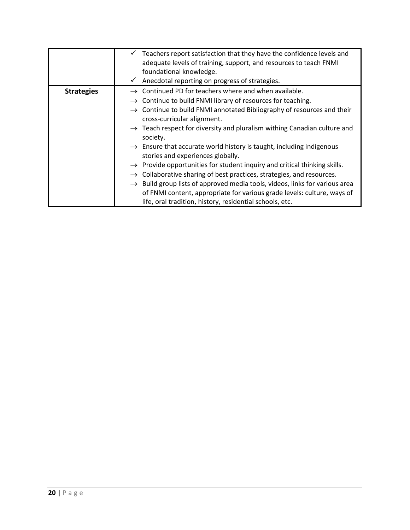|                   | Teachers report satisfaction that they have the confidence levels and<br>adequate levels of training, support, and resources to teach FNMI |
|-------------------|--------------------------------------------------------------------------------------------------------------------------------------------|
|                   | foundational knowledge.<br>Anecdotal reporting on progress of strategies.<br>$\checkmark$                                                  |
| <b>Strategies</b> | $\rightarrow$ Continued PD for teachers where and when available.                                                                          |
|                   | Continue to build FNMI library of resources for teaching.<br>$\rightarrow$                                                                 |
|                   | $\rightarrow$ Continue to build FNMI annotated Bibliography of resources and their<br>cross-curricular alignment.                          |
|                   | $\rightarrow$ Teach respect for diversity and pluralism withing Canadian culture and<br>society.                                           |
|                   | $\rightarrow$ Ensure that accurate world history is taught, including indigenous<br>stories and experiences globally.                      |
|                   | $\rightarrow$ Provide opportunities for student inquiry and critical thinking skills.                                                      |
|                   | Collaborative sharing of best practices, strategies, and resources.<br>$\rightarrow$                                                       |
|                   | $\rightarrow$ Build group lists of approved media tools, videos, links for various area                                                    |
|                   | of FNMI content, appropriate for various grade levels: culture, ways of                                                                    |
|                   | life, oral tradition, history, residential schools, etc.                                                                                   |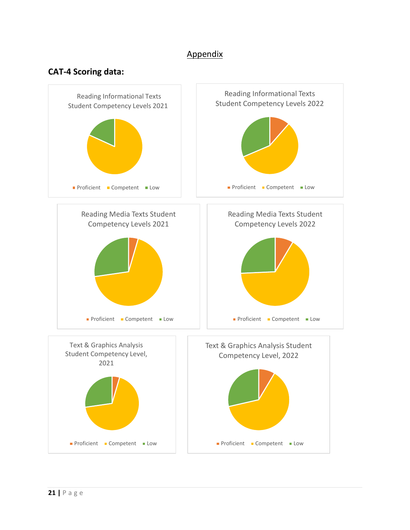# **Appendix**

# **CAT-4 Scoring data:**

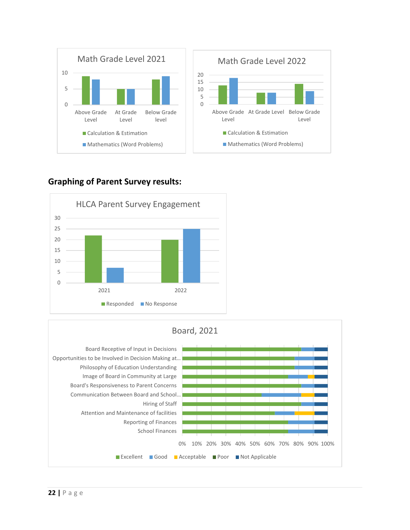



# **Graphing of Parent Survey results:**